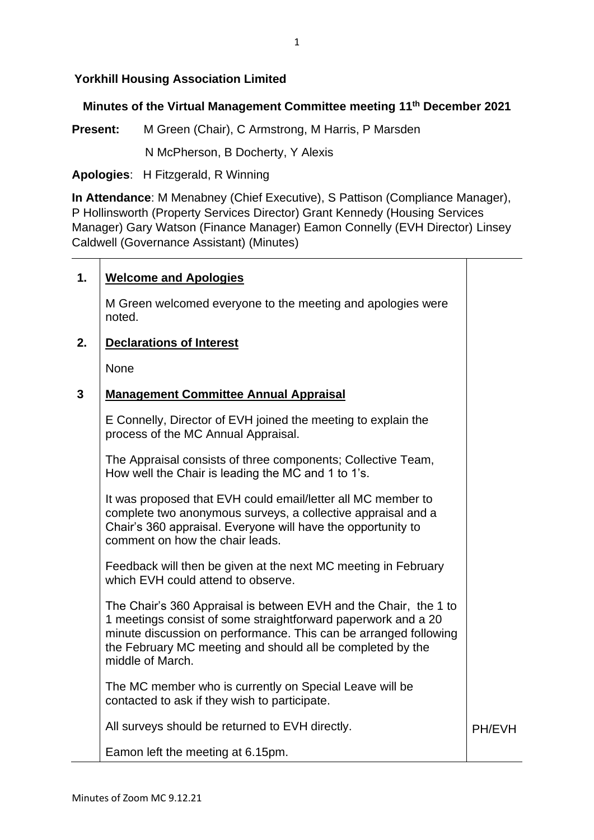## **Yorkhill Housing Association Limited**

### **Minutes of the Virtual Management Committee meeting 11 th December 2021**

**Present:** M Green (Chair), C Armstrong, M Harris, P Marsden

N McPherson, B Docherty, Y Alexis

#### **Apologies**: H Fitzgerald, R Winning

**In Attendance**: M Menabney (Chief Executive), S Pattison (Compliance Manager), P Hollinsworth (Property Services Director) Grant Kennedy (Housing Services Manager) Gary Watson (Finance Manager) Eamon Connelly (EVH Director) Linsey Caldwell (Governance Assistant) (Minutes)

### **1. Welcome and Apologies**

M Green welcomed everyone to the meeting and apologies were noted.

#### **2. Declarations of Interest**

None

#### **3 Management Committee Annual Appraisal**

E Connelly, Director of EVH joined the meeting to explain the process of the MC Annual Appraisal.

The Appraisal consists of three components; Collective Team, How well the Chair is leading the MC and 1 to 1's.

It was proposed that EVH could email/letter all MC member to complete two anonymous surveys, a collective appraisal and a Chair's 360 appraisal. Everyone will have the opportunity to comment on how the chair leads.

Feedback will then be given at the next MC meeting in February which EVH could attend to observe.

The Chair's 360 Appraisal is between EVH and the Chair, the 1 to 1 meetings consist of some straightforward paperwork and a 20 minute discussion on performance. This can be arranged following the February MC meeting and should all be completed by the middle of March.

The MC member who is currently on Special Leave will be contacted to ask if they wish to participate.

All surveys should be returned to EVH directly.

PH/EVH

Eamon left the meeting at 6.15pm.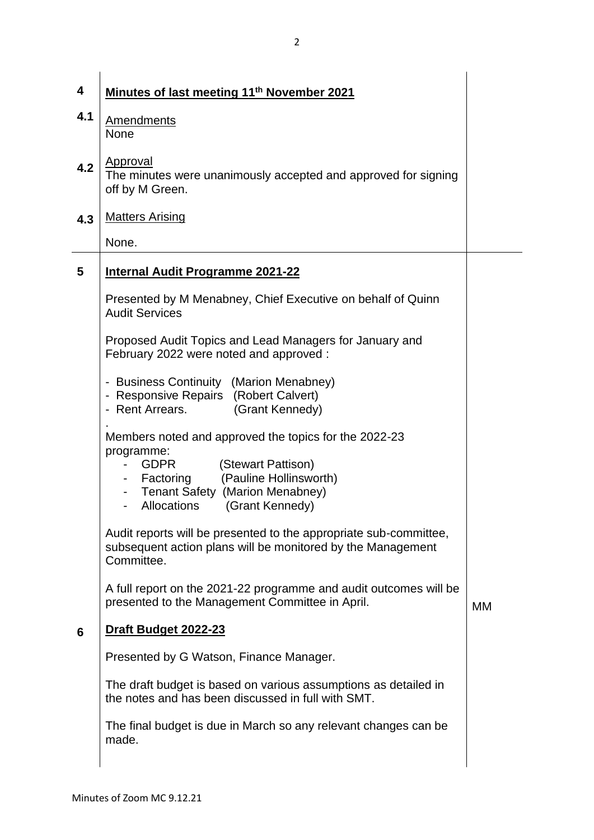| 4   | Minutes of last meeting 11 <sup>th</sup> November 2021                                                                                                                                                                               |    |
|-----|--------------------------------------------------------------------------------------------------------------------------------------------------------------------------------------------------------------------------------------|----|
| 4.1 | <b>Amendments</b><br><b>None</b>                                                                                                                                                                                                     |    |
| 4.2 | <b>Approval</b><br>The minutes were unanimously accepted and approved for signing<br>off by M Green.                                                                                                                                 |    |
| 4.3 | <b>Matters Arising</b>                                                                                                                                                                                                               |    |
|     | None.                                                                                                                                                                                                                                |    |
| 5   | <b>Internal Audit Programme 2021-22</b>                                                                                                                                                                                              |    |
|     | Presented by M Menabney, Chief Executive on behalf of Quinn<br><b>Audit Services</b>                                                                                                                                                 |    |
|     | Proposed Audit Topics and Lead Managers for January and<br>February 2022 were noted and approved:                                                                                                                                    |    |
|     | - Business Continuity (Marion Menabney)<br>- Responsive Repairs (Robert Calvert)<br>- Rent Arrears.<br>(Grant Kennedy)                                                                                                               |    |
|     | Members noted and approved the topics for the 2022-23<br>programme:<br><b>GDPR</b><br>(Stewart Pattison)<br>(Pauline Hollinsworth)<br>- Factoring<br><b>Tenant Safety (Marion Menabney)</b><br>$\sim$<br>Allocations (Grant Kennedy) |    |
|     | Audit reports will be presented to the appropriate sub-committee,<br>subsequent action plans will be monitored by the Management<br>Committee.                                                                                       |    |
|     | A full report on the 2021-22 programme and audit outcomes will be<br>presented to the Management Committee in April.                                                                                                                 | MM |
| 6   | Draft Budget 2022-23                                                                                                                                                                                                                 |    |
|     | Presented by G Watson, Finance Manager.                                                                                                                                                                                              |    |
|     | The draft budget is based on various assumptions as detailed in<br>the notes and has been discussed in full with SMT.                                                                                                                |    |
|     | The final budget is due in March so any relevant changes can be<br>made.                                                                                                                                                             |    |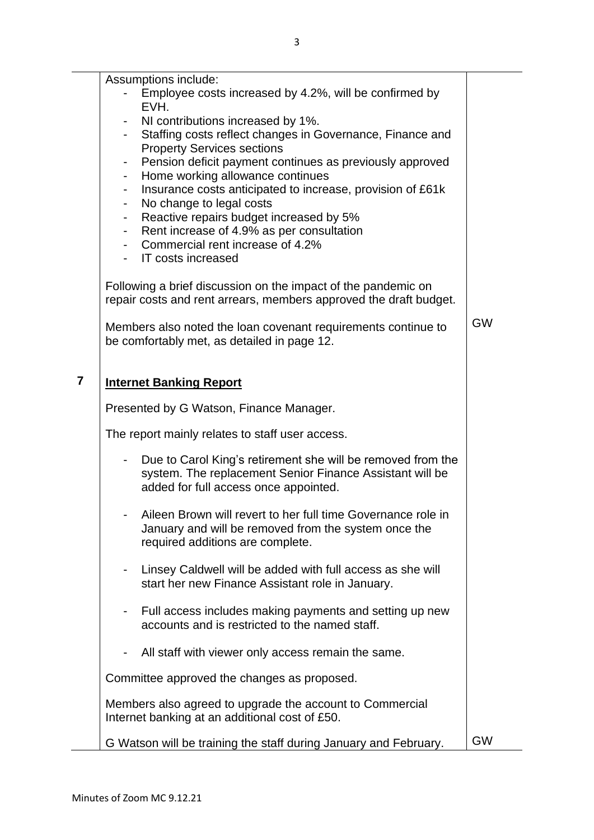Assumptions include:

- Employee costs increased by 4.2%, will be confirmed by EVH.
- NI contributions increased by 1%.
- Staffing costs reflect changes in Governance, Finance and Property Services sections
- Pension deficit payment continues as previously approved
- Home working allowance continues
- Insurance costs anticipated to increase, provision of £61k
- No change to legal costs
- Reactive repairs budget increased by 5%
- Rent increase of 4.9% as per consultation
- Commercial rent increase of 4.2%
- IT costs increased

Following a brief discussion on the impact of the pandemic on repair costs and rent arrears, members approved the draft budget.

Members also noted the loan covenant requirements continue to be comfortably met, as detailed in page 12.

GW

# **7 Internet Banking Report**

Presented by G Watson, Finance Manager.

The report mainly relates to staff user access.

- Due to Carol King's retirement she will be removed from the system. The replacement Senior Finance Assistant will be added for full access once appointed.
- Aileen Brown will revert to her full time Governance role in January and will be removed from the system once the required additions are complete.
- Linsey Caldwell will be added with full access as she will start her new Finance Assistant role in January.
- Full access includes making payments and setting up new accounts and is restricted to the named staff.
- All staff with viewer only access remain the same.

Committee approved the changes as proposed.

Members also agreed to upgrade the account to Commercial Internet banking at an additional cost of £50.

G Watson will be training the staff during January and February.  $\Box$  GW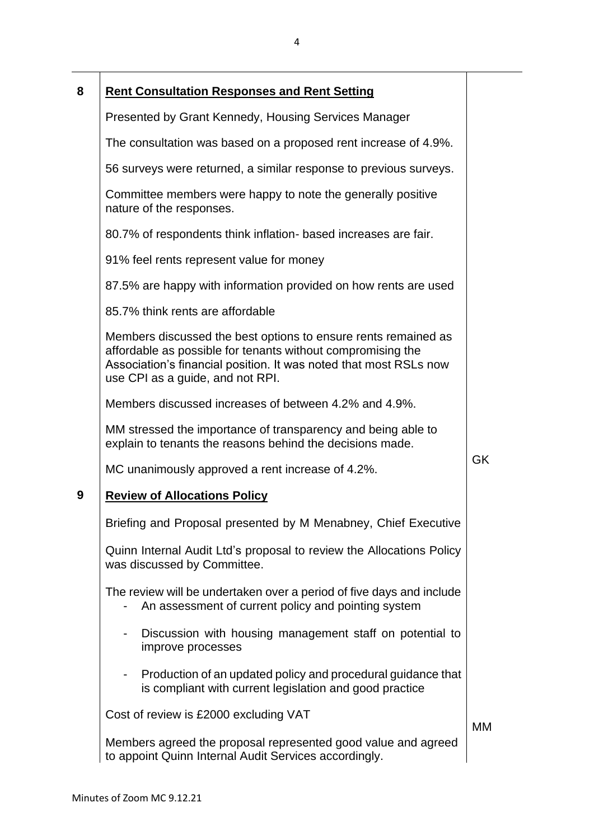| 8 | <b>Rent Consultation Responses and Rent Setting</b>                                                                                                                                                                                    |           |
|---|----------------------------------------------------------------------------------------------------------------------------------------------------------------------------------------------------------------------------------------|-----------|
|   | Presented by Grant Kennedy, Housing Services Manager                                                                                                                                                                                   |           |
|   | The consultation was based on a proposed rent increase of 4.9%.                                                                                                                                                                        |           |
|   | 56 surveys were returned, a similar response to previous surveys.                                                                                                                                                                      |           |
|   | Committee members were happy to note the generally positive<br>nature of the responses.                                                                                                                                                |           |
|   | 80.7% of respondents think inflation- based increases are fair.                                                                                                                                                                        |           |
|   | 91% feel rents represent value for money                                                                                                                                                                                               |           |
|   | 87.5% are happy with information provided on how rents are used                                                                                                                                                                        |           |
|   | 85.7% think rents are affordable                                                                                                                                                                                                       |           |
|   | Members discussed the best options to ensure rents remained as<br>affordable as possible for tenants without compromising the<br>Association's financial position. It was noted that most RSLs now<br>use CPI as a guide, and not RPI. |           |
|   | Members discussed increases of between 4.2% and 4.9%.                                                                                                                                                                                  |           |
|   | MM stressed the importance of transparency and being able to<br>explain to tenants the reasons behind the decisions made.                                                                                                              |           |
|   | MC unanimously approved a rent increase of 4.2%.                                                                                                                                                                                       | <b>GK</b> |
| 9 | <b>Review of Allocations Policy</b>                                                                                                                                                                                                    |           |
|   | Briefing and Proposal presented by M Menabney, Chief Executive                                                                                                                                                                         |           |
|   | Quinn Internal Audit Ltd's proposal to review the Allocations Policy<br>was discussed by Committee.                                                                                                                                    |           |
|   | The review will be undertaken over a period of five days and include<br>An assessment of current policy and pointing system                                                                                                            |           |
|   | Discussion with housing management staff on potential to<br>improve processes                                                                                                                                                          |           |
|   | Production of an updated policy and procedural guidance that<br>is compliant with current legislation and good practice                                                                                                                |           |
|   | Cost of review is £2000 excluding VAT                                                                                                                                                                                                  |           |
|   |                                                                                                                                                                                                                                        | MМ        |

Members agreed the proposal represented good value and agreed to appoint Quinn Internal Audit Services accordingly.